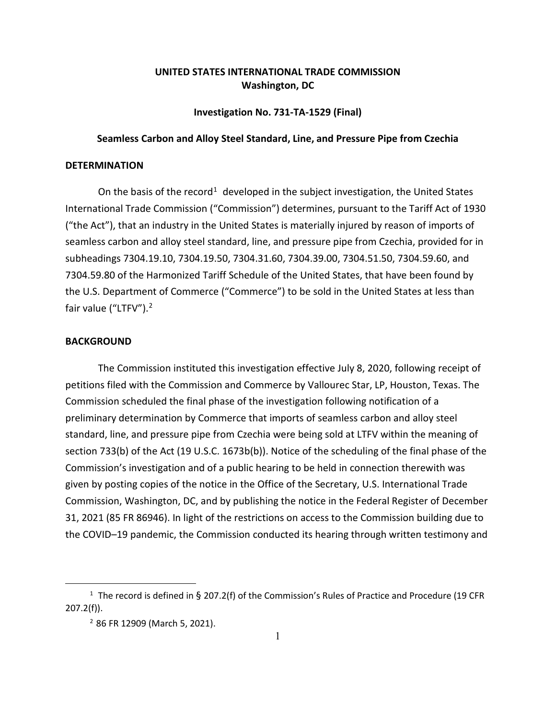## **UNITED STATES INTERNATIONAL TRADE COMMISSION Washington, DC**

**Investigation No. 731-TA-1529 (Final)**

## **Seamless Carbon and Alloy Steel Standard, Line, and Pressure Pipe from Czechia**

## **DETERMINATION**

On the basis of the record<sup>[1](#page-0-0)</sup> developed in the subject investigation, the United States International Trade Commission ("Commission") determines, pursuant to the Tariff Act of 1930 ("the Act"), that an industry in the United States is materially injured by reason of imports of seamless carbon and alloy steel standard, line, and pressure pipe from Czechia, provided for in subheadings 7304.19.10, 7304.19.50, 7304.31.60, 7304.39.00, 7304.51.50, 7304.59.60, and 7304.59.80 of the Harmonized Tariff Schedule of the United States, that have been found by the U.S. Department of Commerce ("Commerce") to be sold in the United States at less than fair value ("LTFV").<sup>[2](#page-0-1)</sup>

## **BACKGROUND**

The Commission instituted this investigation effective July 8, 2020, following receipt of petitions filed with the Commission and Commerce by Vallourec Star, LP, Houston, Texas. The Commission scheduled the final phase of the investigation following notification of a preliminary determination by Commerce that imports of seamless carbon and alloy steel standard, line, and pressure pipe from Czechia were being sold at LTFV within the meaning of section 733(b) of the Act (19 U.S.C. 1673b(b)). Notice of the scheduling of the final phase of the Commission's investigation and of a public hearing to be held in connection therewith was given by posting copies of the notice in the Office of the Secretary, U.S. International Trade Commission, Washington, DC, and by publishing the notice in the Federal Register of December 31, 2021 (85 FR 86946). In light of the restrictions on access to the Commission building due to the COVID–19 pandemic, the Commission conducted its hearing through written testimony and

<span id="page-0-1"></span><span id="page-0-0"></span><sup>&</sup>lt;sup>1</sup> The record is defined in § 207.2(f) of the Commission's Rules of Practice and Procedure (19 CFR 207.2(f)).

<sup>2</sup> 86 FR 12909 (March 5, 2021).